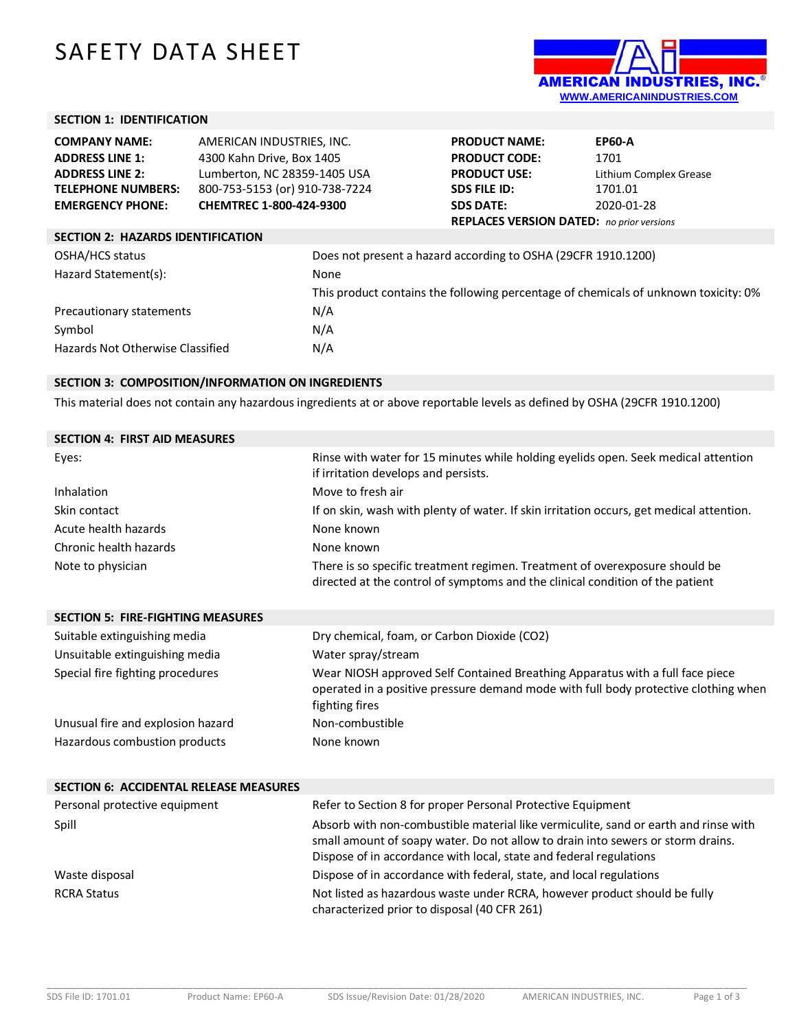# SAFETY DATA SHEET



## **SECTION 1: IDENTIFICATION**

| <b>COMPANY NAME:</b><br><b>ADDRESS LINE 1:</b><br><b>ADDRESS LINE 2:</b><br><b>TELEPHONE NUMBERS:</b><br><b>EMERGENCY PHONE:</b> | AMERICAN INDUSTRIES, INC.<br>4300 Kahn Drive, Box 1405<br>Lumberton, NC 28359-1405 USA<br>800-753-5153 (or) 910-738-7224<br>CHEMTREC 1-800-424-9300 |      | <b>PRODUCT NAME:</b><br><b>PRODUCT CODE:</b><br><b>PRODUCT USE:</b><br><b>SDS FILE ID:</b><br><b>SDS DATE:</b><br><b>REPLACES VERSION DATED:</b> no prior versions | <b>EP60-A</b><br>1701<br>Lithium Complex Grease<br>1701.01<br>2020-01-28            |
|----------------------------------------------------------------------------------------------------------------------------------|-----------------------------------------------------------------------------------------------------------------------------------------------------|------|--------------------------------------------------------------------------------------------------------------------------------------------------------------------|-------------------------------------------------------------------------------------|
| <b>SECTION 2: HAZARDS IDENTIFICATION</b>                                                                                         |                                                                                                                                                     |      |                                                                                                                                                                    |                                                                                     |
| OSHA/HCS status                                                                                                                  |                                                                                                                                                     |      | Does not present a hazard according to OSHA (29CFR 1910.1200)                                                                                                      |                                                                                     |
| Hazard Statement(s):                                                                                                             |                                                                                                                                                     | None |                                                                                                                                                                    |                                                                                     |
|                                                                                                                                  |                                                                                                                                                     |      |                                                                                                                                                                    | This product contains the following percentage of chemicals of unknown toxicity: 0% |
| Precautionary statements                                                                                                         |                                                                                                                                                     | N/A  |                                                                                                                                                                    |                                                                                     |
| Symbol                                                                                                                           |                                                                                                                                                     | N/A  |                                                                                                                                                                    |                                                                                     |
| Hazards Not Otherwise Classified                                                                                                 |                                                                                                                                                     | N/A  |                                                                                                                                                                    |                                                                                     |

#### **SECTION 3: COMPOSITION/INFORMATION ON INGREDIENTS**

This material does not contain any hazardous ingredients at or above reportable levels as defined by OSHA (29CFR 1910.1200)

| Rinse with water for 15 minutes while holding eyelids open. Seek medical attention<br>if irritation develops and persists.                                   |
|--------------------------------------------------------------------------------------------------------------------------------------------------------------|
| Move to fresh air                                                                                                                                            |
| If on skin, wash with plenty of water. If skin irritation occurs, get medical attention.                                                                     |
| None known                                                                                                                                                   |
| None known                                                                                                                                                   |
| There is so specific treatment regimen. Treatment of overexposure should be<br>directed at the control of symptoms and the clinical condition of the patient |
|                                                                                                                                                              |

| <b>SECTION 5: FIRE-FIGHTING MEASURES</b> |                                                                                                                                                                                        |
|------------------------------------------|----------------------------------------------------------------------------------------------------------------------------------------------------------------------------------------|
| Suitable extinguishing media             | Dry chemical, foam, or Carbon Dioxide (CO2)                                                                                                                                            |
| Unsuitable extinguishing media           | Water spray/stream                                                                                                                                                                     |
| Special fire fighting procedures         | Wear NIOSH approved Self Contained Breathing Apparatus with a full face piece<br>operated in a positive pressure demand mode with full body protective clothing when<br>fighting fires |
| Unusual fire and explosion hazard        | Non-combustible                                                                                                                                                                        |
| Hazardous combustion products            | None known                                                                                                                                                                             |

| <b>SECTION 6: ACCIDENTAL RELEASE MEASURES</b> |                                                                                                                                                                                                                                              |
|-----------------------------------------------|----------------------------------------------------------------------------------------------------------------------------------------------------------------------------------------------------------------------------------------------|
| Personal protective equipment                 | Refer to Section 8 for proper Personal Protective Equipment                                                                                                                                                                                  |
| Spill                                         | Absorb with non-combustible material like vermiculite, sand or earth and rinse with<br>small amount of soapy water. Do not allow to drain into sewers or storm drains.<br>Dispose of in accordance with local, state and federal regulations |
| Waste disposal                                | Dispose of in accordance with federal, state, and local regulations                                                                                                                                                                          |
| <b>RCRA Status</b>                            | Not listed as hazardous waste under RCRA, however product should be fully<br>characterized prior to disposal (40 CFR 261)                                                                                                                    |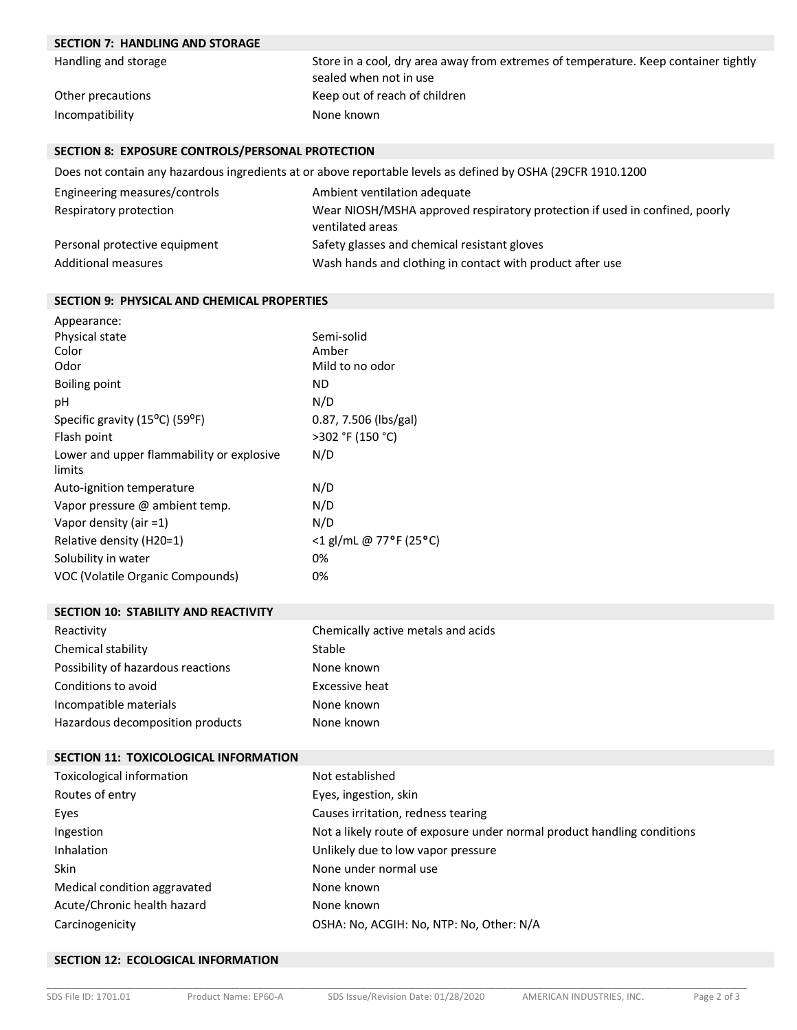# **SECTION 7: HANDLING AND STORAGE**

| Handling and storage | Store in a cool, dry area away from extremes of temperature. Keep container tightly |
|----------------------|-------------------------------------------------------------------------------------|
|                      | sealed when not in use                                                              |
| Other precautions    | Keep out of reach of children                                                       |
| Incompatibility      | None known                                                                          |

### **SECTION 8: EXPOSURE CONTROLS/PERSONAL PROTECTION**

Does not contain any hazardous ingredients at or above reportable levels as defined by OSHA (29CFR 1910.1200

| Engineering measures/controls | Ambient ventilation adequate                                                                    |
|-------------------------------|-------------------------------------------------------------------------------------------------|
| Respiratory protection        | Wear NIOSH/MSHA approved respiratory protection if used in confined, poorly<br>ventilated areas |
| Personal protective equipment | Safety glasses and chemical resistant gloves                                                    |
| <b>Additional measures</b>    | Wash hands and clothing in contact with product after use                                       |

#### **SECTION 9: PHYSICAL AND CHEMICAL PROPERTIES**

| Appearance:                                              |                        |
|----------------------------------------------------------|------------------------|
| Physical state                                           | Semi-solid             |
| Color                                                    | Amber                  |
| Odor                                                     | Mild to no odor        |
| Boiling point                                            | ΝD                     |
| рH                                                       | N/D                    |
| Specific gravity (15 <sup>o</sup> C) (59 <sup>o</sup> F) | 0.87, 7.506 (lbs/gal)  |
| Flash point                                              | >302 °F (150 °C)       |
| Lower and upper flammability or explosive<br>limits      | N/D                    |
| Auto-ignition temperature                                | N/D                    |
| Vapor pressure @ ambient temp.                           | N/D                    |
| Vapor density (air $=1$ )                                | N/D                    |
| Relative density (H20=1)                                 | <1 gl/mL @ 77°F (25°C) |
| Solubility in water                                      | 0%                     |
| VOC (Volatile Organic Compounds)                         | 0%                     |

#### **SECTION 10: STABILITY AND REACTIVITY**

| Reactivity                         | Chemically active metals and acids |
|------------------------------------|------------------------------------|
| Chemical stability                 | Stable                             |
| Possibility of hazardous reactions | None known                         |
| Conditions to avoid                | Excessive heat                     |
| Incompatible materials             | None known                         |
| Hazardous decomposition products   | None known                         |

### **SECTION 11: TOXICOLOGICAL INFORMATION**

| Toxicological information    | Not established                                                         |
|------------------------------|-------------------------------------------------------------------------|
| Routes of entry              | Eyes, ingestion, skin                                                   |
| Eyes                         | Causes irritation, redness tearing                                      |
| Ingestion                    | Not a likely route of exposure under normal product handling conditions |
| Inhalation                   | Unlikely due to low vapor pressure                                      |
| <b>Skin</b>                  | None under normal use                                                   |
| Medical condition aggravated | None known                                                              |
| Acute/Chronic health hazard  | None known                                                              |
| Carcinogenicity              | OSHA: No, ACGIH: No, NTP: No, Other: N/A                                |

#### **SECTION 12: ECOLOGICAL INFORMATION**